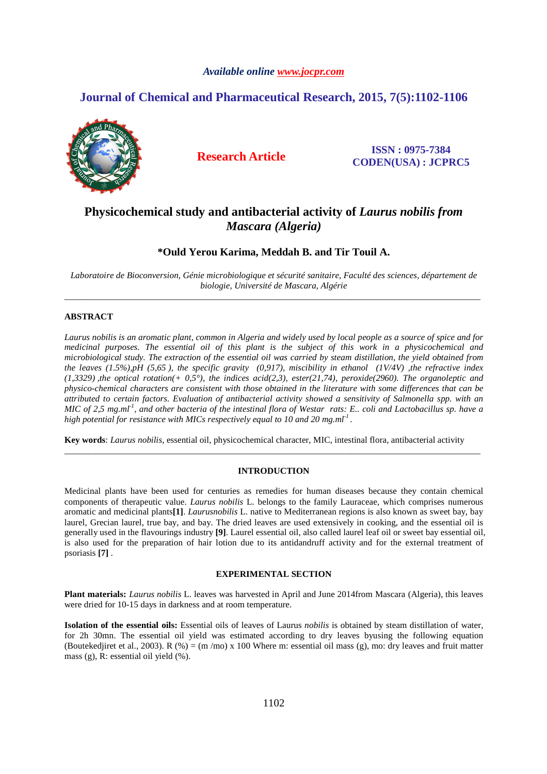# *Available online www.jocpr.com*

# **Journal of Chemical and Pharmaceutical Research, 2015, 7(5):1102-1106**



**Research Article ISSN : 0975-7384 CODEN(USA) : JCPRC5**

# **Physicochemical study and antibacterial activity of** *Laurus nobilis from Mascara (Algeria)*

# **\*Ould Yerou Karima, Meddah B. and Tir Touil A.**

*Laboratoire de Bioconversion, Génie microbiologique et sécurité sanitaire, Faculté des sciences, département de biologie, Université de Mascara, Algérie*  \_\_\_\_\_\_\_\_\_\_\_\_\_\_\_\_\_\_\_\_\_\_\_\_\_\_\_\_\_\_\_\_\_\_\_\_\_\_\_\_\_\_\_\_\_\_\_\_\_\_\_\_\_\_\_\_\_\_\_\_\_\_\_\_\_\_\_\_\_\_\_\_\_\_\_\_\_\_\_\_\_\_\_\_\_\_\_\_\_\_\_\_\_

# **ABSTRACT**

*Laurus nobilis is an aromatic plant, common in Algeria and widely used by local people as a source of spice and for medicinal purposes. The essential oil of this plant is the subject of this work in a physicochemical and microbiological study. The extraction of the essential oil was carried by steam distillation, the yield obtained from the leaves (1.5%),pH (5,65 ), the specific gravity (0,917), miscibility in ethanol (1V/4V) ,the refractive index (1,3329) ,the optical rotation(+ 0,5°), the indices acid(2,3), ester(21,74), peroxide(2960). The organoleptic and physico-chemical characters are consistent with those obtained in the literature with some differences that can be attributed to certain factors. Evaluation of antibacterial activity showed a sensitivity of Salmonella spp. with an MIC of 2,5 mg.ml-1, and other bacteria of the intestinal flora of Westar rats: E.. coli and Lactobacillus sp. have a high potential for resistance with MICs respectively equal to 10 and 20 mg.ml-1 .* 

**Key words**: *Laurus nobilis*, essential oil, physicochemical character, MIC, intestinal flora, antibacterial activity

## **INTRODUCTION**

\_\_\_\_\_\_\_\_\_\_\_\_\_\_\_\_\_\_\_\_\_\_\_\_\_\_\_\_\_\_\_\_\_\_\_\_\_\_\_\_\_\_\_\_\_\_\_\_\_\_\_\_\_\_\_\_\_\_\_\_\_\_\_\_\_\_\_\_\_\_\_\_\_\_\_\_\_\_\_\_\_\_\_\_\_\_\_\_\_\_\_\_\_

Medicinal plants have been used for centuries as remedies for human diseases because they contain chemical components of therapeutic value. *Laurus nobilis* L. belongs to the family Lauraceae, which comprises numerous aromatic and medicinal plants**[1]**. *Laurusnobilis* L. native to Mediterranean regions is also known as sweet bay, bay laurel, Grecian laurel, true bay, and bay. The dried leaves are used extensively in cooking, and the essential oil is generally used in the flavourings industry **[9]**. Laurel essential oil, also called laurel leaf oil or sweet bay essential oil, is also used for the preparation of hair lotion due to its antidandruff activity and for the external treatment of psoriasis **[7]** .

# **EXPERIMENTAL SECTION**

**Plant materials:** *Laurus nobilis* L. leaves was harvested in April and June 2014from Mascara (Algeria), this leaves were dried for 10-15 days in darkness and at room temperature.

**Isolation of the essential oils:** Essential oils of leaves of Laurus *nobilis* is obtained by steam distillation of water, for 2h 30mn. The essential oil yield was estimated according to dry leaves byusing the following equation (Boutekedjiret et al., 2003). R (%) = (m /mo) x 100 Where m: essential oil mass (g), mo: dry leaves and fruit matter mass (g), R: essential oil yield (%).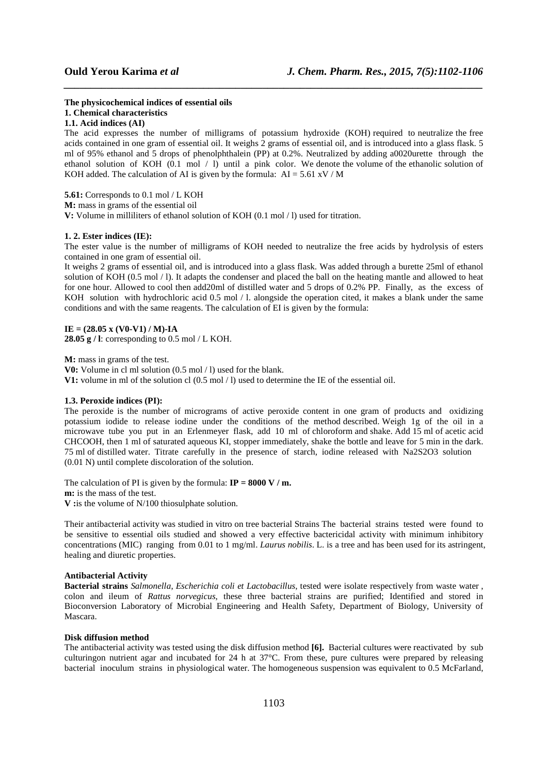**The physicochemical indices of essential oils 1. Chemical characteristics** 

# **1.1. Acid indices (AI)**

The acid expresses the number of milligrams of potassium hydroxide (KOH) required to neutralize the free acids contained in one gram of essential oil. It weighs 2 grams of essential oil, and is introduced into a glass flask. 5 ml of 95% ethanol and 5 drops of phenolphthalein (PP) at 0.2%. Neutralized by adding a0020urette through the ethanol solution of KOH (0.1 mol / l) until a pink color. We denote the volume of the ethanolic solution of KOH added. The calculation of AI is given by the formula:  $AI = 5.61 \text{ xV} / M$ 

*\_\_\_\_\_\_\_\_\_\_\_\_\_\_\_\_\_\_\_\_\_\_\_\_\_\_\_\_\_\_\_\_\_\_\_\_\_\_\_\_\_\_\_\_\_\_\_\_\_\_\_\_\_\_\_\_\_\_\_\_\_\_\_\_\_\_\_\_\_\_\_\_\_\_\_\_\_\_*

**5.61:** Corresponds to 0.1 mol / L KOH

**M:** mass in grams of the essential oil

**V:** Volume in milliliters of ethanol solution of KOH (0.1 mol / 1) used for titration.

#### **1. 2. Ester indices (IE):**

The ester value is the number of milligrams of KOH needed to neutralize the free acids by hydrolysis of esters contained in one gram of essential oil.

It weighs 2 grams of essential oil, and is introduced into a glass flask. Was added through a burette 25ml of ethanol solution of KOH (0.5 mol / l). It adapts the condenser and placed the ball on the heating mantle and allowed to heat for one hour. Allowed to cool then add20ml of distilled water and 5 drops of 0.2% PP. Finally, as the excess of KOH solution with hydrochloric acid 0.5 mol / l. alongside the operation cited, it makes a blank under the same conditions and with the same reagents. The calculation of EI is given by the formula:

# $IE = (28.05 \times (V0-V1) / M) - IA$

**28.05 g / l**: corresponding to 0.5 mol / L KOH.

**M:** mass in grams of the test.

**V0:** Volume in cl ml solution (0.5 mol / l) used for the blank.

**V1:** volume in ml of the solution cl (0.5 mol / l) used to determine the IE of the essential oil.

### **1.3. Peroxide indices (PI):**

The peroxide is the number of micrograms of active peroxide content in one gram of products and oxidizing potassium iodide to release iodine under the conditions of the method described. Weigh 1g of the oil in a microwave tube you put in an Erlenmeyer flask, add 10 ml of chloroform and shake. Add 15 ml of acetic acid CHCOOH, then 1 ml of saturated aqueous KI, stopper immediately, shake the bottle and leave for 5 min in the dark. 75 ml of distilled water. Titrate carefully in the presence of starch, iodine released with Na2S2O3 solution (0.01 N) until complete discoloration of the solution.

The calculation of PI is given by the formula:  $IP = 8000 V/m$ .

**m:** is the mass of the test.

**V**: is the volume of N/100 thiosulphate solution.

Their antibacterial activity was studied in vitro on tree bacterial Strains The bacterial strains tested were found to be sensitive to essential oils studied and showed a very effective bactericidal activity with minimum inhibitory concentrations (MIC) ranging from 0.01 to 1 mg/ml. *Laurus nobilis*. L. is a tree and has been used for its astringent, healing and diuretic properties.

#### **Antibacterial Activity**

**Bacterial strains** *Salmonella*, *Escherichia coli et Lactobacillus*, tested were isolate respectively from waste water , colon and ileum of *Rattus norvegicus*, these three bacterial strains are purified; Identified and stored in Bioconversion Laboratory of Microbial Engineering and Health Safety, Department of Biology, University of Mascara.

# **Disk diffusion method**

The antibacterial activity was tested using the disk diffusion method **[6].** Bacterial cultures were reactivated by sub culturingon nutrient agar and incubated for 24 h at 37°C. From these, pure cultures were prepared by releasing bacterial inoculum strains in physiological water. The homogeneous suspension was equivalent to 0.5 McFarland,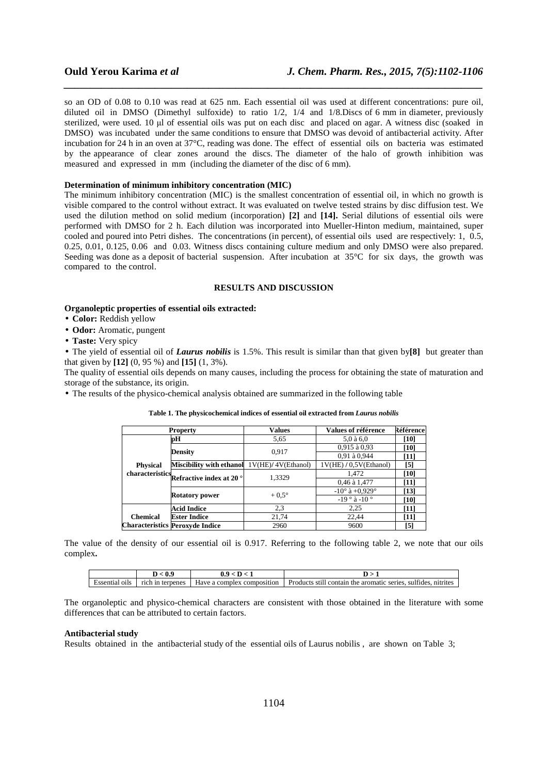so an OD of 0.08 to 0.10 was read at 625 nm. Each essential oil was used at different concentrations: pure oil, diluted oil in DMSO (Dimethyl sulfoxide) to ratio 1/2, 1/4 and 1/8.Discs of 6 mm in diameter, previously sterilized, were used. 10 µl of essential oils was put on each disc and placed on agar. A witness disc (soaked in DMSO) was incubated under the same conditions to ensure that DMSO was devoid of antibacterial activity. After incubation for 24 h in an oven at 37°C, reading was done. The effect of essential oils on bacteria was estimated by the appearance of clear zones around the discs. The diameter of the halo of growth inhibition was measured and expressed in mm (including the diameter of the disc of 6 mm).

*\_\_\_\_\_\_\_\_\_\_\_\_\_\_\_\_\_\_\_\_\_\_\_\_\_\_\_\_\_\_\_\_\_\_\_\_\_\_\_\_\_\_\_\_\_\_\_\_\_\_\_\_\_\_\_\_\_\_\_\_\_\_\_\_\_\_\_\_\_\_\_\_\_\_\_\_\_\_*

# **Determination of minimum inhibitory concentration (MIC)**

The minimum inhibitory concentration (MIC) is the smallest concentration of essential oil, in which no growth is visible compared to the control without extract. It was evaluated on twelve tested strains by disc diffusion test. We used the dilution method on solid medium (incorporation) **[2]** and **[14].** Serial dilutions of essential oils were performed with DMSO for 2 h. Each dilution was incorporated into Mueller-Hinton medium, maintained, super cooled and poured into Petri dishes. The concentrations (in percent), of essential oils used are respectively: 1, 0.5, 0.25, 0.01, 0.125, 0.06 and 0.03. Witness discs containing culture medium and only DMSO were also prepared. Seeding was done as a deposit of bacterial suspension. After incubation at 35°C for six days, the growth was compared to the control.

## **RESULTS AND DISCUSSION**

#### **Organoleptic properties of essential oils extracted:**

- **Color:** Reddish yellow
- **Odor:** Aromatic, pungent
- **Taste:** Very spicy

• The yield of essential oil of *Laurus nobilis* is 1.5%. This result is similar than that given by**[8]** but greater than that given by **[12]** (0, 95 %) and **[15]** (1, 3%).

The quality of essential oils depends on many causes, including the process for obtaining the state of maturation and storage of the substance, its origin.

• The results of the physico-chemical analysis obtained are summarized in the following table

| <b>Property</b> |                                                   | Values             | Values of référence              | Référence |
|-----------------|---------------------------------------------------|--------------------|----------------------------------|-----------|
|                 | pН                                                | 5.65               | $5.0$ à $6.0$                    | [10]      |
|                 |                                                   | 0.917              | $0.915$ à $0.93$                 | [10]      |
|                 | <b>Density</b>                                    |                    | 0,91 à 0,944                     | $[11]$    |
| <b>Physical</b> | <b>Miscibility with ethanol</b>                   | 1V(HE)/4V(Ethanol) | 1V(HE) / 0.5V(Ethanol)           | [5]       |
|                 | characteristics Refractive index at 20 $^{\circ}$ | 1,3329             | 1,472                            | [10]      |
|                 |                                                   |                    | 0,46 à 1,477                     | $[11]$    |
|                 |                                                   | $+0.5^{\circ}$     | $-10^{\circ}$ à $+0.929^{\circ}$ | $[13]$    |
|                 | <b>Rotatory power</b>                             |                    | $-19^\circ$ à $-10^\circ$        | [10]      |
|                 | Acid Indice                                       | 2,3                | 2,25                             | $[11]$    |
| <b>Chemical</b> | <b>Ester Indice</b>                               | 21,74              | 22,44                            | [11]      |
|                 | <b>Characteristics Peroxyde Indice</b>            | 2960               | 9600                             | [5]       |

#### **Table 1. The physicochemical indices of essential oil extracted from** *Laurus nobilis*

The value of the density of our essential oil is 0.917. Referring to the following table 2, we note that our oils complex**.** 

|                   | v.                      |                                        |                                                                                            |
|-------------------|-------------------------|----------------------------------------|--------------------------------------------------------------------------------------------|
| oi ls<br>Essentia | rich.<br>terpenes<br>1n | composition<br>Have<br>complex<br>-я о | 1.01<br>Products<br>-sti<br>sulfides.<br>nitrites<br>the aromatic<br>Il contain<br>series. |

The organoleptic and physico-chemical characters are consistent with those obtained in the literature with some differences that can be attributed to certain factors.

#### **Antibacterial study**

Results obtained in the antibacterial study of the essential oils of Laurus nobilis , are shown on Table 3;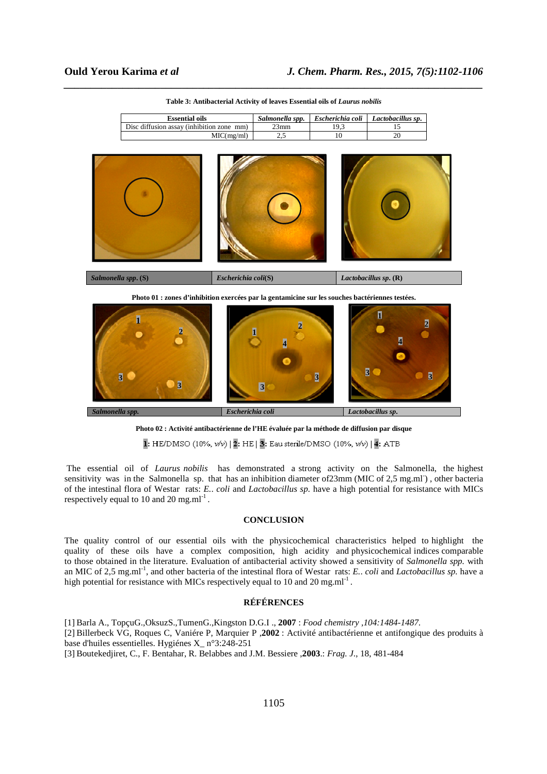| <b>Essential oils</b>                     | Salmonella spp. | $Escherichia coli$   Lactobacillus sp. |
|-------------------------------------------|-----------------|----------------------------------------|
| Disc diffusion assay (inhibition zone mm) | $23$ mm         |                                        |
| MIC(mg/ml)                                |                 |                                        |



*\_\_\_\_\_\_\_\_\_\_\_\_\_\_\_\_\_\_\_\_\_\_\_\_\_\_\_\_\_\_\_\_\_\_\_\_\_\_\_\_\_\_\_\_\_\_\_\_\_\_\_\_\_\_\_\_\_\_\_\_\_\_\_\_\_\_\_\_\_\_\_\_\_\_\_\_\_\_*



**Photo 01 : zones d'inhibition exercées par la gentamicine sur les souches bactériennes testées.** 



**Photo 02 : Activité antibactérienne de l'HE évaluée par la méthode de diffusion par disque** 

1: HE/DMSO (10%, v/v) | 2: HE | 3: Eau sterile/DMSO (10%, v/v) | 4: ATB

 The essential oil of *Laurus nobilis* has demonstrated a strong activity on the Salmonella, the highest sensitivity was in the Salmonella sp. that has an inhibition diameter of 23mm (MIC of 2,5 mg.ml), other bacteria of the intestinal flora of Westar rats: *E.*. *coli* and *Lactobacillus sp.* have a high potential for resistance with MICs respectively equal to 10 and 20 mg.ml<sup>-1</sup>.

### **CONCLUSION**

The quality control of our essential oils with the physicochemical characteristics helped to highlight the quality of these oils have a complex composition, high acidity and physicochemical indices comparable to those obtained in the literature. Evaluation of antibacterial activity showed a sensitivity of *Salmonella spp.* with an MIC of 2,5 mg.ml-1, and other bacteria of the intestinal flora of Westar rats: *E.*. *coli* and *Lactobacillus sp.* have a high potential for resistance with MICs respectively equal to 10 and 20 mg.ml<sup>-1</sup>.

# **RÉFÉRENCES**

[1] Barla A., TopçuG.,OksuzS.,TumenG.,Kingston D.G.I ., **2007** : *Food chemistry ,104:1484-1487.* 

[2] Billerbeck VG, Roques C, Vaniére P, Marquier P ,**2002** : Activité antibactérienne et antifongique des produits à base d'huiles essentielles. Hygiénes X\_ n°3:248-251

[3] Boutekedjiret, C., F. Bentahar, R. Belabbes and J.M. Bessiere ,**2003**.: *Frag. J*., 18, 481-484